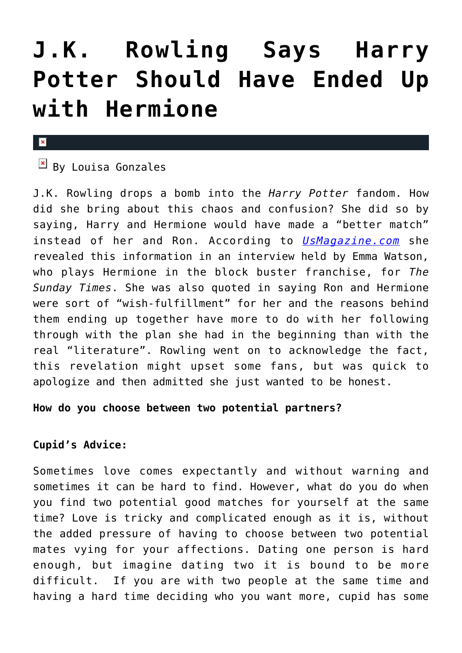# **[J.K. Rowling Says Harry](https://cupidspulse.com/69098/j-k-rowling-harry-potter-should-ended-up-hermione/) [Potter Should Have Ended Up](https://cupidspulse.com/69098/j-k-rowling-harry-potter-should-ended-up-hermione/) [with Hermione](https://cupidspulse.com/69098/j-k-rowling-harry-potter-should-ended-up-hermione/)**

#### $\mathbf{x}$

## $\boxed{\times}$  By Louisa Gonzales

J.K. Rowling drops a bomb into the *Harry Potter* fandom. How did she bring about this chaos and confusion? She did so by saying, Harry and Hermione would have made a "better match" instead of her and Ron. According to *[UsMagazine.com](http://www.usmagazine.com/entertainment/news/jk-rowling-regrets-hermione-granger-ron-weasley-romantic-relationship-says-she-belonged-with-harry-potter-201422)* she revealed this information in an interview held by Emma Watson, who plays Hermione in the block buster franchise, for *The Sunday Times*. She was also quoted in saying Ron and Hermione were sort of "wish-fulfillment" for her and the reasons behind them ending up together have more to do with her following through with the plan she had in the beginning than with the real "literature". Rowling went on to acknowledge the fact, this revelation might upset some fans, but was quick to apologize and then admitted she just wanted to be honest.

### **How do you choose between two potential partners?**

## **Cupid's Advice:**

Sometimes love comes expectantly and without warning and sometimes it can be hard to find. However, what do you do when you find two potential good matches for yourself at the same time? Love is tricky and complicated enough as it is, without the added pressure of having to choose between two potential mates vying for your affections. Dating one person is hard enough, but imagine dating two it is bound to be more difficult. If you are with two people at the same time and having a hard time deciding who you want more, cupid has some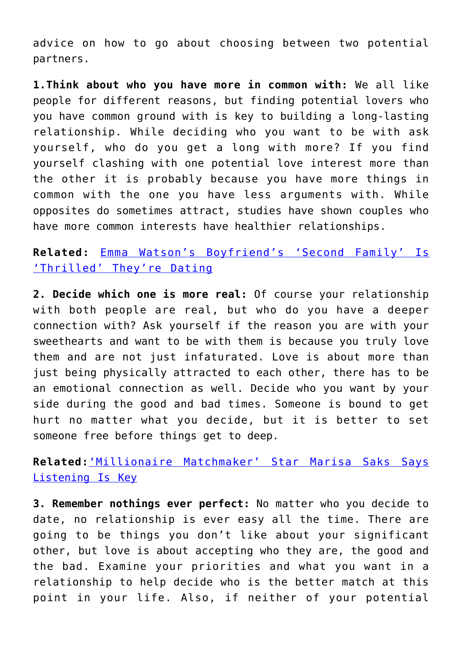advice on how to go about choosing between two potential partners.

**1.Think about who you have more in common with:** We all like people for different reasons, but finding potential lovers who you have common ground with is key to building a long-lasting relationship. While deciding who you want to be with ask yourself, who do you get a long with more? If you find yourself clashing with one potential love interest more than the other it is probably because you have more things in common with the one you have less arguments with. While opposites do sometimes attract, studies have shown couples who have more common interests have healthier relationships.

**Related:** [Emma Watson's Boyfriend's 'Second Family' Is](http://cupidspulse.com/emma-watson-boyfriends-second-family-thrilled-dating/) ['Thrilled' They're Dating](http://cupidspulse.com/emma-watson-boyfriends-second-family-thrilled-dating/)

**2. Decide which one is more real:** Of course your relationship with both people are real, but who do you have a deeper connection with? Ask yourself if the reason you are with your sweethearts and want to be with them is because you truly love them and are not just infaturated. Love is about more than just being physically attracted to each other, there has to be an emotional connection as well. Decide who you want by your side during the good and bad times. Someone is bound to get hurt no matter what you decide, but it is better to set someone free before things get to deep.

**Related:**['Millionaire Matchmaker' Star Marisa Saks Says](http://cupidspulse.com/millionaire-matchmaker-marisa-saks-dating-advice/) [Listening Is Key](http://cupidspulse.com/millionaire-matchmaker-marisa-saks-dating-advice/)

**3. Remember nothings ever perfect:** No matter who you decide to date, no relationship is ever easy all the time. There are going to be things you don't like about your significant other, but love is about accepting who they are, the good and the bad. Examine your priorities and what you want in a relationship to help decide who is the better match at this point in your life. Also, if neither of your potential